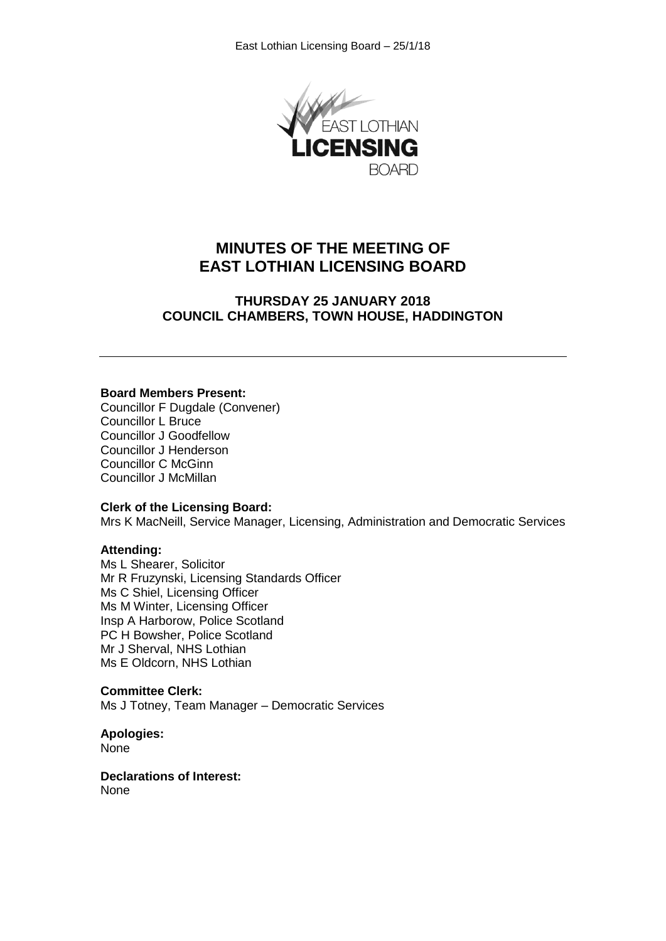

# **MINUTES OF THE MEETING OF EAST LOTHIAN LICENSING BOARD**

## **THURSDAY 25 JANUARY 2018 COUNCIL CHAMBERS, TOWN HOUSE, HADDINGTON**

#### **Board Members Present:**

Councillor F Dugdale (Convener) Councillor L Bruce Councillor J Goodfellow Councillor J Henderson Councillor C McGinn Councillor J McMillan

#### **Clerk of the Licensing Board:**

Mrs K MacNeill, Service Manager, Licensing, Administration and Democratic Services

#### **Attending:**

Ms L Shearer, Solicitor Mr R Fruzynski, Licensing Standards Officer Ms C Shiel, Licensing Officer Ms M Winter, Licensing Officer Insp A Harborow, Police Scotland PC H Bowsher, Police Scotland Mr J Sherval, NHS Lothian Ms E Oldcorn, NHS Lothian

## **Committee Clerk:**

Ms J Totney, Team Manager – Democratic Services

**Apologies:** None

**Declarations of Interest:** None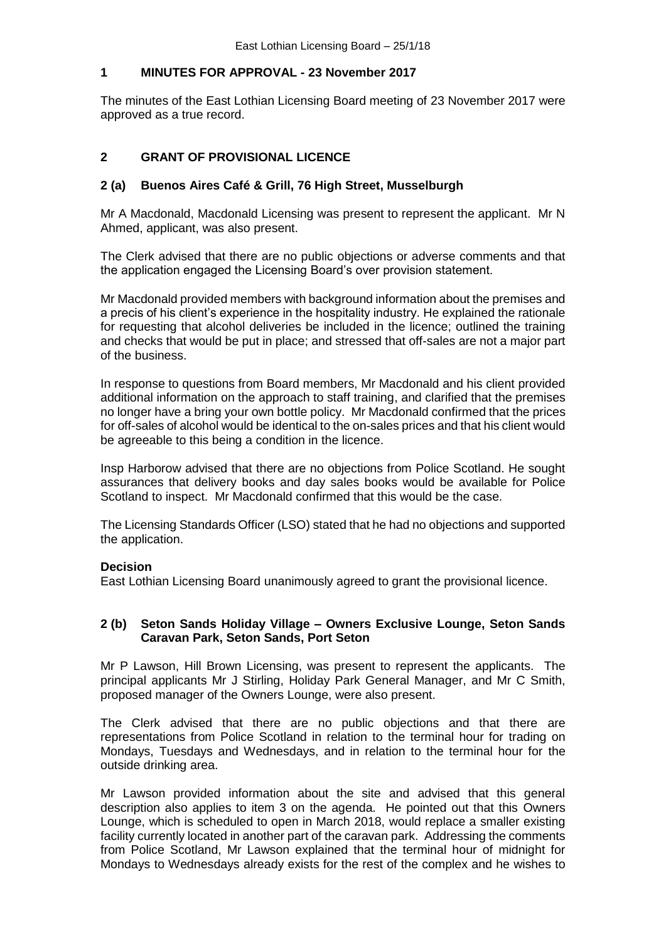## **1 MINUTES FOR APPROVAL - 23 November 2017**

The minutes of the East Lothian Licensing Board meeting of 23 November 2017 were approved as a true record.

# **2 GRANT OF PROVISIONAL LICENCE**

## **2 (a) Buenos Aires Café & Grill, 76 High Street, Musselburgh**

Mr A Macdonald, Macdonald Licensing was present to represent the applicant. Mr N Ahmed, applicant, was also present.

The Clerk advised that there are no public objections or adverse comments and that the application engaged the Licensing Board's over provision statement.

Mr Macdonald provided members with background information about the premises and a precis of his client's experience in the hospitality industry. He explained the rationale for requesting that alcohol deliveries be included in the licence; outlined the training and checks that would be put in place; and stressed that off-sales are not a major part of the business.

In response to questions from Board members, Mr Macdonald and his client provided additional information on the approach to staff training, and clarified that the premises no longer have a bring your own bottle policy. Mr Macdonald confirmed that the prices for off-sales of alcohol would be identical to the on-sales prices and that his client would be agreeable to this being a condition in the licence.

Insp Harborow advised that there are no objections from Police Scotland. He sought assurances that delivery books and day sales books would be available for Police Scotland to inspect. Mr Macdonald confirmed that this would be the case.

The Licensing Standards Officer (LSO) stated that he had no objections and supported the application.

## **Decision**

East Lothian Licensing Board unanimously agreed to grant the provisional licence.

## **2 (b) Seton Sands Holiday Village – Owners Exclusive Lounge, Seton Sands Caravan Park, Seton Sands, Port Seton**

Mr P Lawson, Hill Brown Licensing, was present to represent the applicants. The principal applicants Mr J Stirling, Holiday Park General Manager, and Mr C Smith, proposed manager of the Owners Lounge, were also present.

The Clerk advised that there are no public objections and that there are representations from Police Scotland in relation to the terminal hour for trading on Mondays, Tuesdays and Wednesdays, and in relation to the terminal hour for the outside drinking area.

Mr Lawson provided information about the site and advised that this general description also applies to item 3 on the agenda. He pointed out that this Owners Lounge, which is scheduled to open in March 2018, would replace a smaller existing facility currently located in another part of the caravan park. Addressing the comments from Police Scotland, Mr Lawson explained that the terminal hour of midnight for Mondays to Wednesdays already exists for the rest of the complex and he wishes to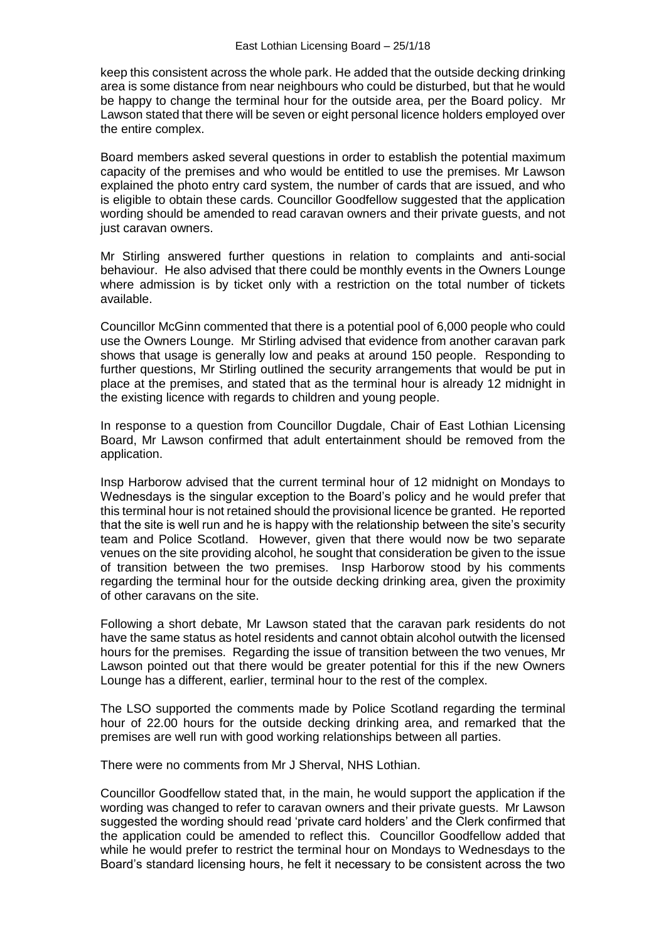keep this consistent across the whole park. He added that the outside decking drinking area is some distance from near neighbours who could be disturbed, but that he would be happy to change the terminal hour for the outside area, per the Board policy. Mr Lawson stated that there will be seven or eight personal licence holders employed over the entire complex.

Board members asked several questions in order to establish the potential maximum capacity of the premises and who would be entitled to use the premises. Mr Lawson explained the photo entry card system, the number of cards that are issued, and who is eligible to obtain these cards. Councillor Goodfellow suggested that the application wording should be amended to read caravan owners and their private guests, and not just caravan owners.

Mr Stirling answered further questions in relation to complaints and anti-social behaviour. He also advised that there could be monthly events in the Owners Lounge where admission is by ticket only with a restriction on the total number of tickets available.

Councillor McGinn commented that there is a potential pool of 6,000 people who could use the Owners Lounge. Mr Stirling advised that evidence from another caravan park shows that usage is generally low and peaks at around 150 people. Responding to further questions, Mr Stirling outlined the security arrangements that would be put in place at the premises, and stated that as the terminal hour is already 12 midnight in the existing licence with regards to children and young people.

In response to a question from Councillor Dugdale, Chair of East Lothian Licensing Board, Mr Lawson confirmed that adult entertainment should be removed from the application.

Insp Harborow advised that the current terminal hour of 12 midnight on Mondays to Wednesdays is the singular exception to the Board's policy and he would prefer that this terminal hour is not retained should the provisional licence be granted. He reported that the site is well run and he is happy with the relationship between the site's security team and Police Scotland. However, given that there would now be two separate venues on the site providing alcohol, he sought that consideration be given to the issue of transition between the two premises. Insp Harborow stood by his comments regarding the terminal hour for the outside decking drinking area, given the proximity of other caravans on the site.

Following a short debate, Mr Lawson stated that the caravan park residents do not have the same status as hotel residents and cannot obtain alcohol outwith the licensed hours for the premises. Regarding the issue of transition between the two venues, Mr Lawson pointed out that there would be greater potential for this if the new Owners Lounge has a different, earlier, terminal hour to the rest of the complex.

The LSO supported the comments made by Police Scotland regarding the terminal hour of 22.00 hours for the outside decking drinking area, and remarked that the premises are well run with good working relationships between all parties.

There were no comments from Mr J Sherval, NHS Lothian.

Councillor Goodfellow stated that, in the main, he would support the application if the wording was changed to refer to caravan owners and their private guests. Mr Lawson suggested the wording should read 'private card holders' and the Clerk confirmed that the application could be amended to reflect this. Councillor Goodfellow added that while he would prefer to restrict the terminal hour on Mondays to Wednesdays to the Board's standard licensing hours, he felt it necessary to be consistent across the two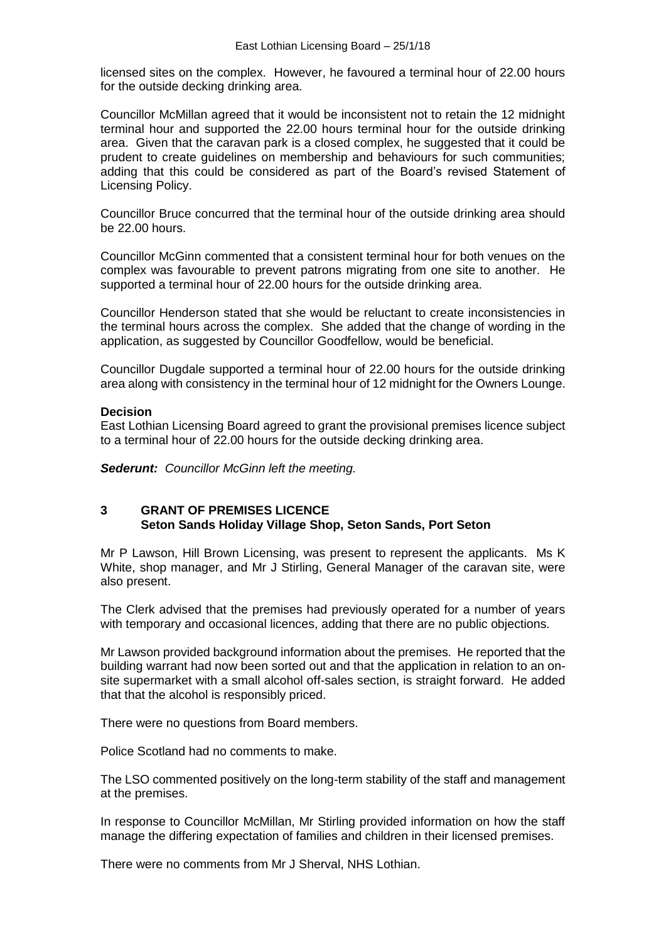licensed sites on the complex. However, he favoured a terminal hour of 22.00 hours for the outside decking drinking area.

Councillor McMillan agreed that it would be inconsistent not to retain the 12 midnight terminal hour and supported the 22.00 hours terminal hour for the outside drinking area. Given that the caravan park is a closed complex, he suggested that it could be prudent to create guidelines on membership and behaviours for such communities; adding that this could be considered as part of the Board's revised Statement of Licensing Policy.

Councillor Bruce concurred that the terminal hour of the outside drinking area should be 22.00 hours.

Councillor McGinn commented that a consistent terminal hour for both venues on the complex was favourable to prevent patrons migrating from one site to another. He supported a terminal hour of 22.00 hours for the outside drinking area.

Councillor Henderson stated that she would be reluctant to create inconsistencies in the terminal hours across the complex. She added that the change of wording in the application, as suggested by Councillor Goodfellow, would be beneficial.

Councillor Dugdale supported a terminal hour of 22.00 hours for the outside drinking area along with consistency in the terminal hour of 12 midnight for the Owners Lounge.

## **Decision**

East Lothian Licensing Board agreed to grant the provisional premises licence subject to a terminal hour of 22.00 hours for the outside decking drinking area.

*Sederunt: Councillor McGinn left the meeting.*

## **3 GRANT OF PREMISES LICENCE Seton Sands Holiday Village Shop, Seton Sands, Port Seton**

Mr P Lawson, Hill Brown Licensing, was present to represent the applicants. Ms K White, shop manager, and Mr J Stirling, General Manager of the caravan site, were also present.

The Clerk advised that the premises had previously operated for a number of years with temporary and occasional licences, adding that there are no public objections.

Mr Lawson provided background information about the premises. He reported that the building warrant had now been sorted out and that the application in relation to an onsite supermarket with a small alcohol off-sales section, is straight forward. He added that that the alcohol is responsibly priced.

There were no questions from Board members.

Police Scotland had no comments to make.

The LSO commented positively on the long-term stability of the staff and management at the premises.

In response to Councillor McMillan, Mr Stirling provided information on how the staff manage the differing expectation of families and children in their licensed premises.

There were no comments from Mr J Sherval, NHS Lothian.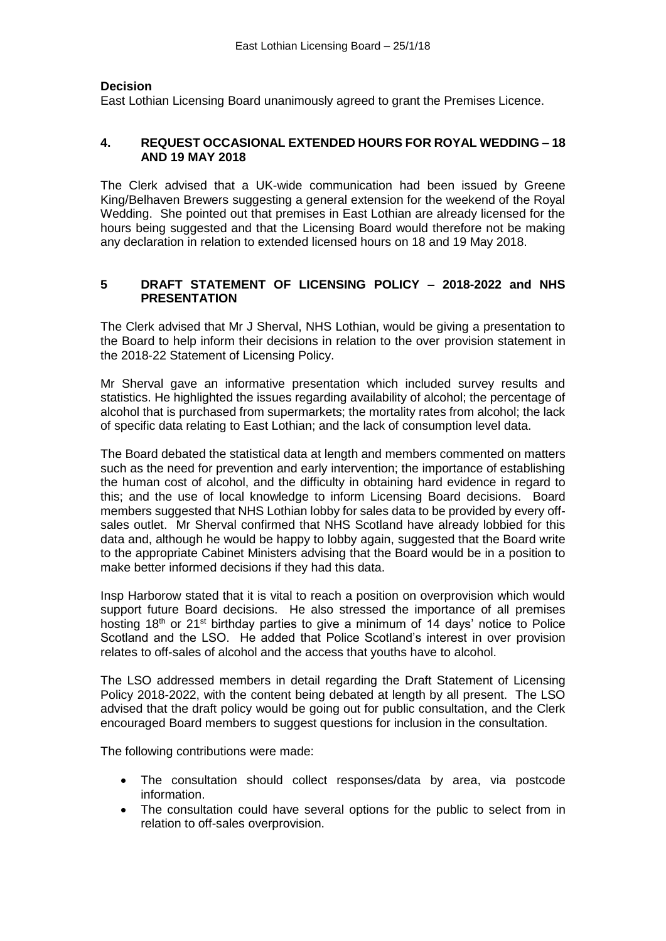#### **Decision**

East Lothian Licensing Board unanimously agreed to grant the Premises Licence.

## **4. REQUEST OCCASIONAL EXTENDED HOURS FOR ROYAL WEDDING – 18 AND 19 MAY 2018**

The Clerk advised that a UK-wide communication had been issued by Greene King/Belhaven Brewers suggesting a general extension for the weekend of the Royal Wedding. She pointed out that premises in East Lothian are already licensed for the hours being suggested and that the Licensing Board would therefore not be making any declaration in relation to extended licensed hours on 18 and 19 May 2018.

## **5 DRAFT STATEMENT OF LICENSING POLICY – 2018-2022 and NHS PRESENTATION**

The Clerk advised that Mr J Sherval, NHS Lothian, would be giving a presentation to the Board to help inform their decisions in relation to the over provision statement in the 2018-22 Statement of Licensing Policy.

Mr Sherval gave an informative presentation which included survey results and statistics. He highlighted the issues regarding availability of alcohol; the percentage of alcohol that is purchased from supermarkets; the mortality rates from alcohol; the lack of specific data relating to East Lothian; and the lack of consumption level data.

The Board debated the statistical data at length and members commented on matters such as the need for prevention and early intervention; the importance of establishing the human cost of alcohol, and the difficulty in obtaining hard evidence in regard to this; and the use of local knowledge to inform Licensing Board decisions. Board members suggested that NHS Lothian lobby for sales data to be provided by every offsales outlet. Mr Sherval confirmed that NHS Scotland have already lobbied for this data and, although he would be happy to lobby again, suggested that the Board write to the appropriate Cabinet Ministers advising that the Board would be in a position to make better informed decisions if they had this data.

Insp Harborow stated that it is vital to reach a position on overprovision which would support future Board decisions. He also stressed the importance of all premises hosting 18<sup>th</sup> or 21<sup>st</sup> birthday parties to give a minimum of 14 days' notice to Police Scotland and the LSO. He added that Police Scotland's interest in over provision relates to off-sales of alcohol and the access that youths have to alcohol.

The LSO addressed members in detail regarding the Draft Statement of Licensing Policy 2018-2022, with the content being debated at length by all present. The LSO advised that the draft policy would be going out for public consultation, and the Clerk encouraged Board members to suggest questions for inclusion in the consultation.

The following contributions were made:

- The consultation should collect responses/data by area, via postcode information.
- The consultation could have several options for the public to select from in relation to off-sales overprovision.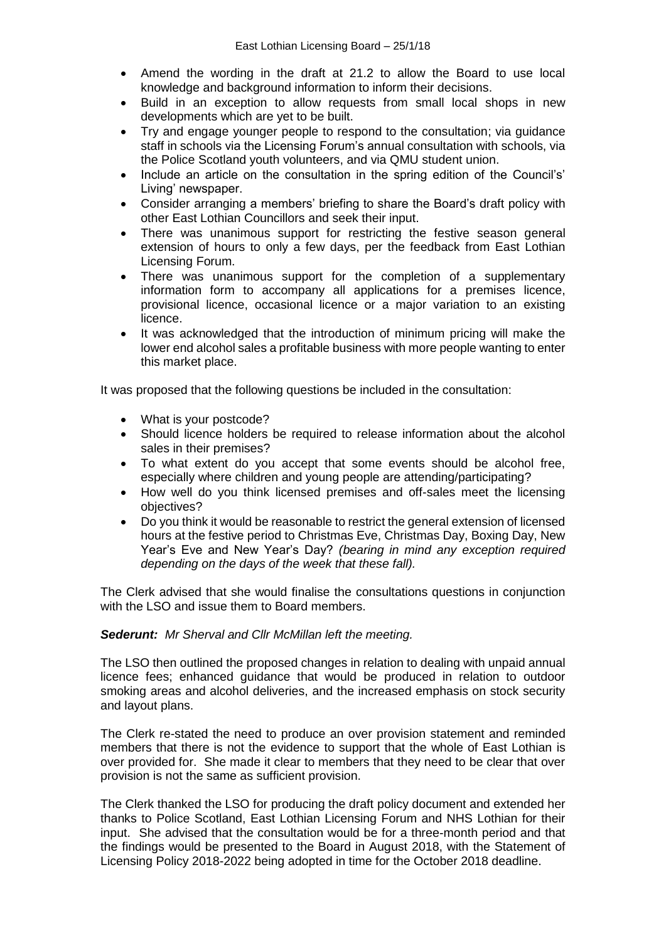- Amend the wording in the draft at 21.2 to allow the Board to use local knowledge and background information to inform their decisions.
- Build in an exception to allow requests from small local shops in new developments which are yet to be built.
- Try and engage younger people to respond to the consultation; via guidance staff in schools via the Licensing Forum's annual consultation with schools, via the Police Scotland youth volunteers, and via QMU student union.
- Include an article on the consultation in the spring edition of the Council's' Living' newspaper.
- Consider arranging a members' briefing to share the Board's draft policy with other East Lothian Councillors and seek their input.
- There was unanimous support for restricting the festive season general extension of hours to only a few days, per the feedback from East Lothian Licensing Forum.
- There was unanimous support for the completion of a supplementary information form to accompany all applications for a premises licence, provisional licence, occasional licence or a major variation to an existing licence.
- It was acknowledged that the introduction of minimum pricing will make the lower end alcohol sales a profitable business with more people wanting to enter this market place.

It was proposed that the following questions be included in the consultation:

- What is your postcode?
- Should licence holders be required to release information about the alcohol sales in their premises?
- To what extent do you accept that some events should be alcohol free, especially where children and young people are attending/participating?
- How well do you think licensed premises and off-sales meet the licensing objectives?
- Do you think it would be reasonable to restrict the general extension of licensed hours at the festive period to Christmas Eve, Christmas Day, Boxing Day, New Year's Eve and New Year's Day? *(bearing in mind any exception required depending on the days of the week that these fall).*

The Clerk advised that she would finalise the consultations questions in conjunction with the LSO and issue them to Board members.

#### *Sederunt: Mr Sherval and Cllr McMillan left the meeting.*

The LSO then outlined the proposed changes in relation to dealing with unpaid annual licence fees; enhanced guidance that would be produced in relation to outdoor smoking areas and alcohol deliveries, and the increased emphasis on stock security and layout plans.

The Clerk re-stated the need to produce an over provision statement and reminded members that there is not the evidence to support that the whole of East Lothian is over provided for. She made it clear to members that they need to be clear that over provision is not the same as sufficient provision.

The Clerk thanked the LSO for producing the draft policy document and extended her thanks to Police Scotland, East Lothian Licensing Forum and NHS Lothian for their input. She advised that the consultation would be for a three-month period and that the findings would be presented to the Board in August 2018, with the Statement of Licensing Policy 2018-2022 being adopted in time for the October 2018 deadline.